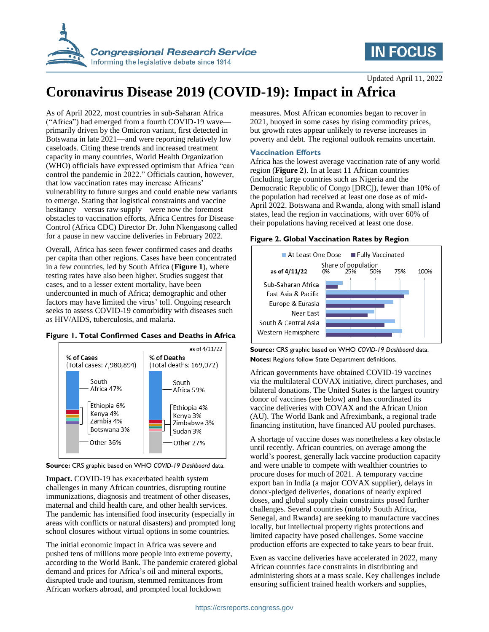

## **IN FOCUS**

Updated April 11, 2022

# **Coronavirus Disease 2019 (COVID-19): Impact in Africa**

As of April 2022, most countries in sub-Saharan Africa ("Africa") had emerged from a fourth COVID-19 wave primarily driven by the Omicron variant, first detected in Botswana in late 2021—and were reporting relatively low caseloads. Citing these trends and increased treatment capacity in many countries, World Health Organization (WHO) officials have expressed optimism that Africa "can control the pandemic in 2022." Officials caution, however, that low vaccination rates may increase Africans' vulnerability to future surges and could enable new variants to emerge. Stating that logistical constraints and vaccine hesitancy—versus raw supply—were now the foremost obstacles to vaccination efforts, Africa Centres for Disease Control (Africa CDC) Director Dr. John Nkengasong called for a pause in new vaccine deliveries in February 2022.

Overall, Africa has seen fewer confirmed cases and deaths per capita than other regions. Cases have been concentrated in a few countries, led by South Africa (**Figure 1**), where testing rates have also been higher. Studies suggest that cases, and to a lesser extent mortality, have been undercounted in much of Africa; demographic and other factors may have limited the virus' toll. Ongoing research seeks to assess COVID-19 comorbidity with diseases such as HIV/AIDS, tuberculosis, and malaria.







**Impact.** COVID-19 has exacerbated health system challenges in many African countries, disrupting routine immunizations, diagnosis and treatment of other diseases, maternal and child health care, and other health services. The pandemic has intensified food insecurity (especially in areas with conflicts or natural disasters) and prompted long school closures without virtual options in some countries.

The initial economic impact in Africa was severe and pushed tens of millions more people into extreme poverty, according to the World Bank. The pandemic cratered global demand and prices for Africa's oil and mineral exports, disrupted trade and tourism, stemmed remittances from African workers abroad, and prompted local lockdown

measures. Most African economies began to recover in 2021, buoyed in some cases by rising commodity prices, but growth rates appear unlikely to reverse increases in poverty and debt. The regional outlook remains uncertain.

#### **Vaccination Efforts**

Africa has the lowest average vaccination rate of any world region (**Figure 2**). In at least 11 African countries (including large countries such as Nigeria and the Democratic Republic of Congo [DRC]), fewer than 10% of the population had received at least one dose as of mid-April 2022. Botswana and Rwanda, along with small island states, lead the region in vaccinations, with over 60% of their populations having received at least one dose.

#### **Figure 2. Global Vaccination Rates by Region**



**Source:** CRS graphic based on WHO *COVID-19 Dashboard* data. **Notes:** Regions follow State Department definitions.

African governments have obtained COVID-19 vaccines via the multilateral COVAX initiative, direct purchases, and bilateral donations. The United States is the largest country donor of vaccines (see below) and has coordinated its vaccine deliveries with COVAX and the African Union (AU). The World Bank and Afreximbank, a regional trade financing institution, have financed AU pooled purchases.

A shortage of vaccine doses was nonetheless a key obstacle until recently. African countries, on average among the world's poorest, generally lack vaccine production capacity and were unable to compete with wealthier countries to procure doses for much of 2021. A temporary vaccine export ban in India (a major COVAX supplier), delays in donor-pledged deliveries, donations of nearly expired doses, and global supply chain constraints posed further challenges. Several countries (notably South Africa, Senegal, and Rwanda) are seeking to manufacture vaccines locally, but intellectual property rights protections and limited capacity have posed challenges. Some vaccine production efforts are expected to take years to bear fruit.

Even as vaccine deliveries have accelerated in 2022, many African countries face constraints in distributing and administering shots at a mass scale. Key challenges include ensuring sufficient trained health workers and supplies,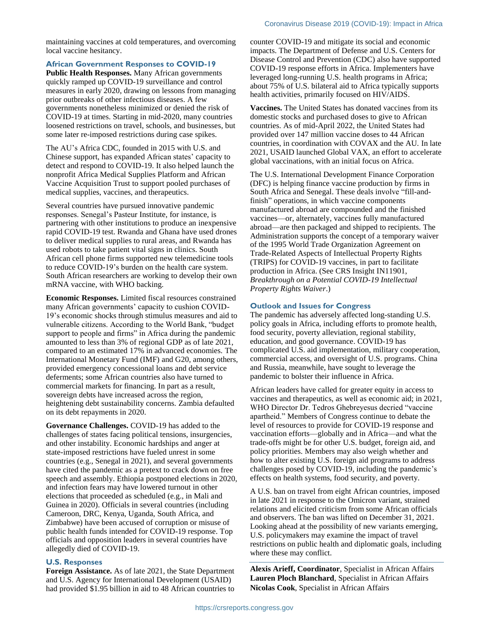maintaining vaccines at cold temperatures, and overcoming local vaccine hesitancy.

#### **African Government Responses to COVID-19**

**Public Health Responses.** Many African governments quickly ramped up COVID-19 surveillance and control measures in early 2020, drawing on lessons from managing prior outbreaks of other infectious diseases. A few governments nonetheless minimized or denied the risk of COVID-19 at times. Starting in mid-2020, many countries loosened restrictions on travel, schools, and businesses, but some later re-imposed restrictions during case spikes.

The AU's Africa CDC, founded in 2015 with U.S. and Chinese support, has expanded African states' capacity to detect and respond to COVID-19. It also helped launch the nonprofit Africa Medical Supplies Platform and African Vaccine Acquisition Trust to support pooled purchases of medical supplies, vaccines, and therapeutics.

Several countries have pursued innovative pandemic responses. Senegal's Pasteur Institute, for instance, is partnering with other institutions to produce an inexpensive rapid COVID-19 test. Rwanda and Ghana have used drones to deliver medical supplies to rural areas, and Rwanda has used robots to take patient vital signs in clinics. South African cell phone firms supported new telemedicine tools to reduce COVID-19's burden on the health care system. South African researchers are working to develop their own mRNA vaccine, with WHO backing.

**Economic Responses.** Limited fiscal resources constrained many African governments' capacity to cushion COVID-19's economic shocks through stimulus measures and aid to vulnerable citizens. According to the World Bank, "budget support to people and firms" in Africa during the pandemic amounted to less than 3% of regional GDP as of late 2021, compared to an estimated 17% in advanced economies. The International Monetary Fund (IMF) and G20, among others, provided emergency concessional loans and debt service deferments; some African countries also have turned to commercial markets for financing. In part as a result, sovereign debts have increased across the region, heightening debt sustainability concerns. Zambia defaulted on its debt repayments in 2020.

**Governance Challenges.** COVID-19 has added to the challenges of states facing political tensions, insurgencies, and other instability. Economic hardships and anger at state-imposed restrictions have fueled unrest in some countries (e.g., Senegal in 2021), and several governments have cited the pandemic as a pretext to crack down on free speech and assembly. Ethiopia postponed elections in 2020, and infection fears may have lowered turnout in other elections that proceeded as scheduled (e.g., in Mali and Guinea in 2020). Officials in several countries (including Cameroon, DRC, Kenya, Uganda, South Africa, and Zimbabwe) have been accused of corruption or misuse of public health funds intended for COVID-19 response. Top officials and opposition leaders in several countries have allegedly died of COVID-19.

#### **U.S. Responses**

**Foreign Assistance.** As of late 2021, the State Department and U.S. Agency for International Development (USAID) had provided \$1.95 billion in aid to 48 African countries to counter COVID-19 and mitigate its social and economic impacts. The Department of Defense and U.S. Centers for Disease Control and Prevention (CDC) also have supported COVID-19 response efforts in Africa. Implementers have leveraged long-running U.S. health programs in Africa; about 75% of U.S. bilateral aid to Africa typically supports health activities, primarily focused on HIV/AIDS.

**Vaccines.** The United States has donated vaccines from its domestic stocks and purchased doses to give to African countries. As of mid-April 2022, the United States had provided over 147 million vaccine doses to 44 African countries, in coordination with COVAX and the AU. In late 2021, USAID launched Global VAX, an effort to accelerate global vaccinations, with an initial focus on Africa.

The U.S. International Development Finance Corporation (DFC) is helping finance vaccine production by firms in South Africa and Senegal. These deals involve "fill-andfinish" operations, in which vaccine components manufactured abroad are compounded and the finished vaccines—or, alternately, vaccines fully manufactured abroad—are then packaged and shipped to recipients. The Administration supports the concept of a temporary waiver of the 1995 World Trade Organization Agreement on Trade-Related Aspects of Intellectual Property Rights (TRIPS) for COVID-19 vaccines, in part to facilitate production in Africa. (See CRS Insight IN11901, *Breakthrough on a Potential COVID-19 Intellectual Property Rights Waiver*.)

#### **Outlook and Issues for Congress**

The pandemic has adversely affected long-standing U.S. policy goals in Africa, including efforts to promote health, food security, poverty alleviation, regional stability, education, and good governance. COVID-19 has complicated U.S. aid implementation, military cooperation, commercial access, and oversight of U.S. programs. China and Russia, meanwhile, have sought to leverage the pandemic to bolster their influence in Africa.

African leaders have called for greater equity in access to vaccines and therapeutics, as well as economic aid; in 2021, WHO Director Dr. Tedros Ghebreyesus decried "vaccine apartheid." Members of Congress continue to debate the level of resources to provide for COVID-19 response and vaccination efforts—globally and in Africa—and what the trade-offs might be for other U.S. budget, foreign aid, and policy priorities. Members may also weigh whether and how to alter existing U.S. foreign aid programs to address challenges posed by COVID-19, including the pandemic's effects on health systems, food security, and poverty.

A U.S. ban on travel from eight African countries, imposed in late 2021 in response to the Omicron variant, strained relations and elicited criticism from some African officials and observers. The ban was lifted on December 31, 2021. Looking ahead at the possibility of new variants emerging, U.S. policymakers may examine the impact of travel restrictions on public health and diplomatic goals, including where these may conflict.

**Alexis Arieff, Coordinator**, Specialist in African Affairs **Lauren Ploch Blanchard**, Specialist in African Affairs **Nicolas Cook**, Specialist in African Affairs